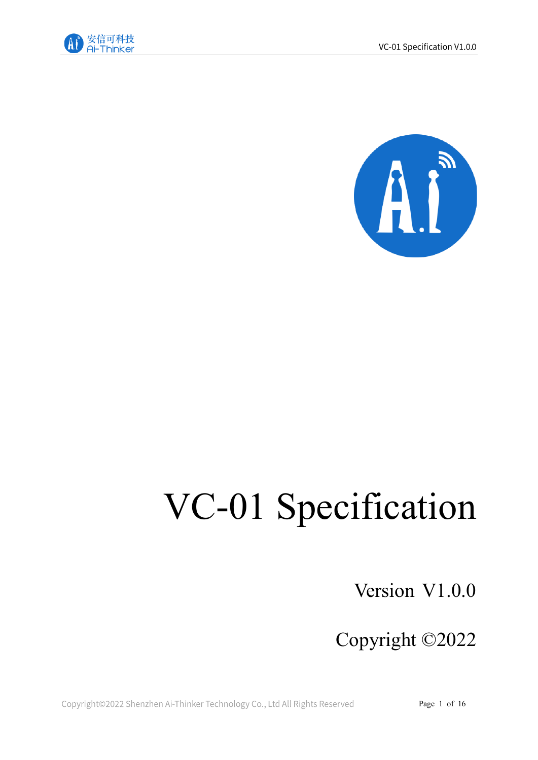



# VC-01 Specification

Version V1.0.0

Copyright ©2022

Copyright©2022 Shenzhen Ai-Thinker Technology Co., Ltd All Rights Reserved

Page 1 of 16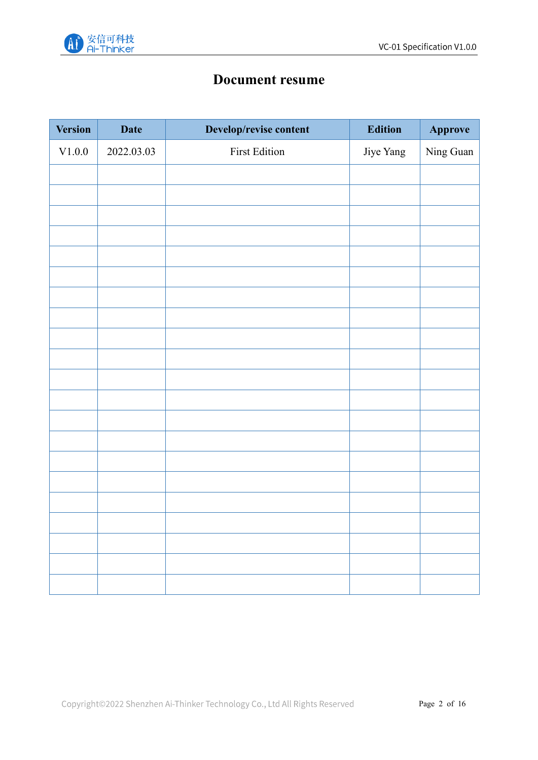

# **Document resume**

| <b>Version</b> | <b>Date</b> | Develop/revise content | <b>Edition</b> | Approve   |
|----------------|-------------|------------------------|----------------|-----------|
| $\rm V1.0.0$   | 2022.03.03  | <b>First Edition</b>   | Jiye Yang      | Ning Guan |
|                |             |                        |                |           |
|                |             |                        |                |           |
|                |             |                        |                |           |
|                |             |                        |                |           |
|                |             |                        |                |           |
|                |             |                        |                |           |
|                |             |                        |                |           |
|                |             |                        |                |           |
|                |             |                        |                |           |
|                |             |                        |                |           |
|                |             |                        |                |           |
|                |             |                        |                |           |
|                |             |                        |                |           |
|                |             |                        |                |           |
|                |             |                        |                |           |
|                |             |                        |                |           |
|                |             |                        |                |           |
|                |             |                        |                |           |
|                |             |                        |                |           |
|                |             |                        |                |           |
|                |             |                        |                |           |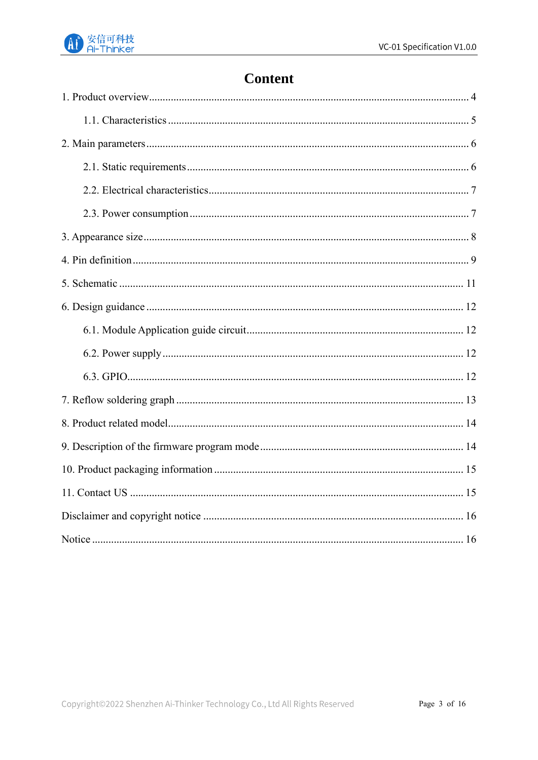

# **Content**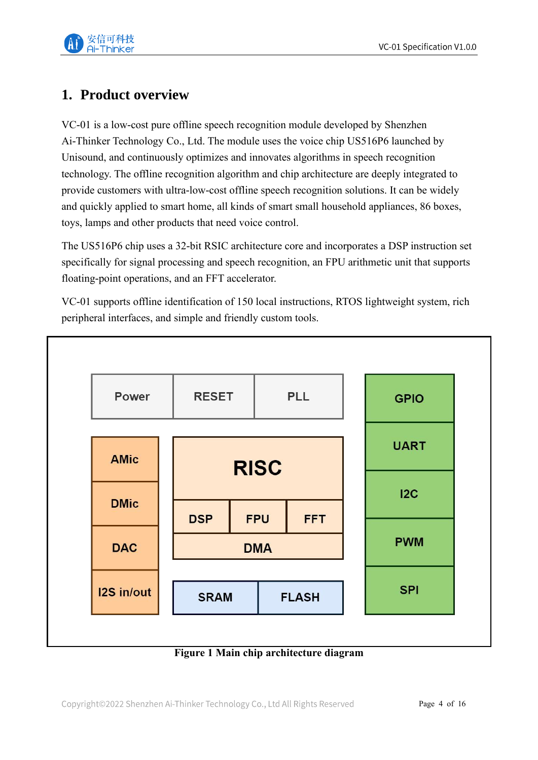

# <span id="page-3-0"></span>**1. Product overview**

VC-01 is a low-cost pure offline speech recognition module developed by Shenzhen Ai-Thinker Technology Co., Ltd. The module uses the voice chip US516P6 launched by Unisound, and continuously optimizes and innovates algorithms in speech recognition technology. The offline recognition algorithm and chip architecture are deeply integrated to provide customers with ultra-low-cost offline speech recognition solutions. It can be widely and quickly applied to smart home, all kinds of smart small household appliances, 86 boxes, toys, lamps and other products that need voice control.

The US516P6 chip uses a 32-bit RSIC architecture core and incorporates a DSP instruction set specifically for signal processing and speech recognition, an FPU arithmetic unit that supports floating-point operations, and an FFT accelerator.

VC-01 supports offline identification of 150 local instructions, RTOS lightweight system, rich peripheral interfaces, and simple and friendly custom tools.



**Figure 1 Main chip architecture diagram**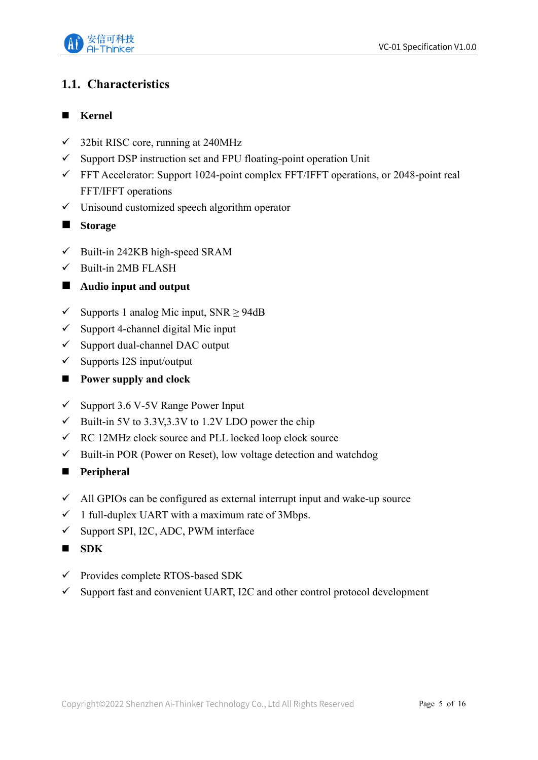

## <span id="page-4-0"></span>**1.1. Characteristics**

#### ■ Kernel

- $\checkmark$  32bit RISC core, running at 240MHz
- $\checkmark$  Support DSP instruction set and FPU floating-point operation Unit
- $\checkmark$  FFT Accelerator: Support 1024-point complex FFT/IFFT operations, or 2048-point real FFT/IFFT operations
- $\checkmark$  Unisound customized speech algorithm operator
- **Storage**
- $\checkmark$  Built-in 242KB high-speed SRAM
- $\checkmark$  Built-in 2MB FLASH
- **Audio input and output**
- $\checkmark$  Supports 1 analog Mic input, SNR  $\geq$  94dB
- $\checkmark$  Support 4-channel digital Mic input
- ✓ Support dual-channel DAC output
- $\checkmark$  Supports I2S input/output
- **Power supply and clock**
- $\checkmark$  Support 3.6 V-5V Range Power Input
- $\checkmark$  Built-in 5V to 3.3V, 3.3V to 1.2V LDO power the chip
- $\checkmark$  RC 12MHz clock source and PLL locked loop clock source
- $\checkmark$  Built-in POR (Power on Reset), low voltage detection and watchdog
- **Peripheral**
- $\checkmark$  All GPIOs can be configured as external interrupt input and wake-up source
- $\checkmark$  1 full-duplex UART with a maximum rate of 3Mbps.
- $\checkmark$  Support SPI, I2C, ADC, PWM interface
- SDK
- ✓ Provides complete RTOS-based SDK
- $\checkmark$  Support fast and convenient UART, I2C and other control protocol development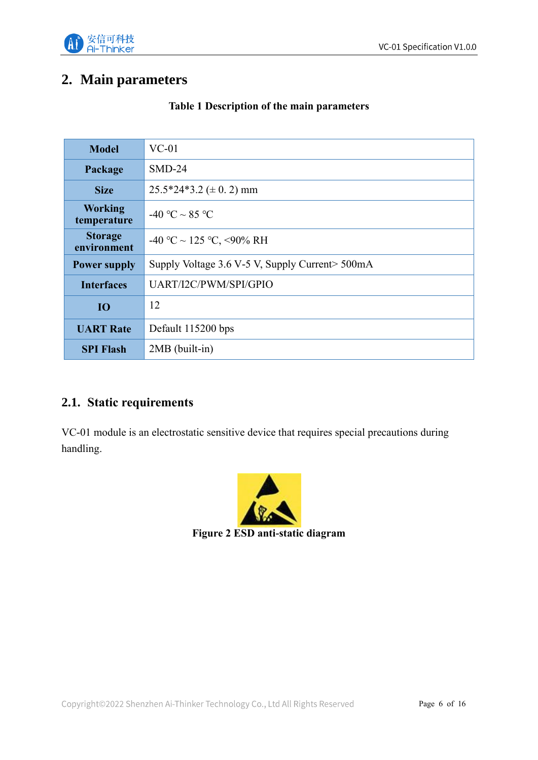

# <span id="page-5-0"></span>**2. Main parameters**

| <b>Model</b>                  | $VC-01$                                          |  |  |  |
|-------------------------------|--------------------------------------------------|--|--|--|
| Package                       | $SMD-24$                                         |  |  |  |
| <b>Size</b>                   | $25.5*24*3.2 \ (\pm 0.2) \text{ mm}$             |  |  |  |
| <b>Working</b><br>temperature | $-40$ °C $\sim$ 85 °C                            |  |  |  |
| <b>Storage</b><br>environment | -40 °C ~ 125 °C, <90% RH                         |  |  |  |
| <b>Power supply</b>           | Supply Voltage 3.6 V-5 V, Supply Current > 500mA |  |  |  |
| <b>Interfaces</b>             | UART/I2C/PWM/SPI/GPIO                            |  |  |  |
| IO <sub>1</sub>               | 12                                               |  |  |  |
| <b>UART Rate</b>              | Default 115200 bps                               |  |  |  |
| <b>SPI Flash</b>              | $2MB$ (built-in)                                 |  |  |  |

#### **Table 1 Description of the main parameters**

## <span id="page-5-1"></span>**2.1. Static requirements**

VC-01 module is an electrostatic sensitive device that requires special precautions during handling.



**Figure 2 ESD anti-static diagram**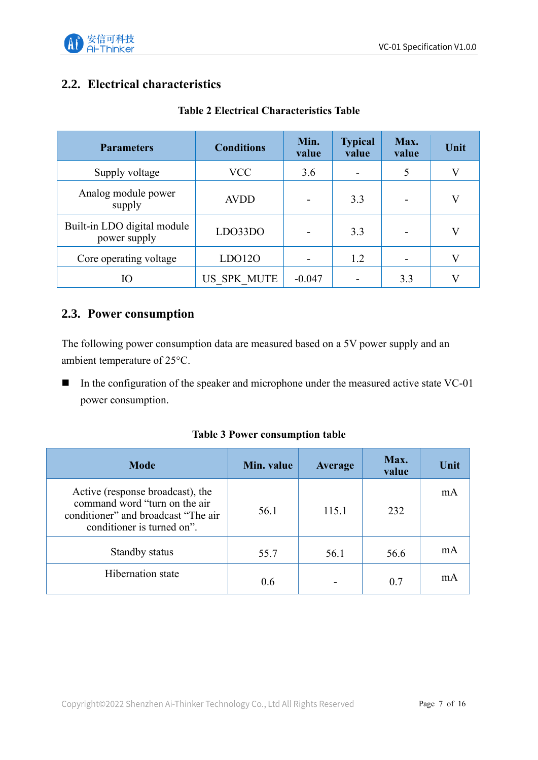

### <span id="page-6-0"></span>**2.2. Electrical characteristics**

| <b>Parameters</b>                           | <b>Conditions</b>  | Min.<br>value | <b>Typical</b><br>value | Max.<br>value | Unit    |
|---------------------------------------------|--------------------|---------------|-------------------------|---------------|---------|
| Supply voltage                              | <b>VCC</b>         | 3.6           |                         | 5             | V       |
| Analog module power<br>supply               | <b>AVDD</b>        |               | 3.3                     |               | V       |
| Built-in LDO digital module<br>power supply | LDO33DO            |               | 3.3                     |               | V       |
| Core operating voltage                      | LDO12O             |               | 1.2                     |               | $\rm V$ |
| Ю                                           | <b>US SPK MUTE</b> | $-0.047$      |                         | 3.3           | V       |

#### **Table 2 Electrical Characteristics Table**

#### <span id="page-6-1"></span>**2.3. Power consumption**

The following power consumption data are measured based on a 5V power supply and an ambient temperature of 25°C.

■ In the configuration of the speaker and microphone under the measured active state VC-01 power consumption.

|  |  | <b>Table 3 Power consumption table</b> |  |
|--|--|----------------------------------------|--|
|--|--|----------------------------------------|--|

| Mode                                                                                                                                   | Min. value | <b>Average</b> | Max.<br>value | Unit |
|----------------------------------------------------------------------------------------------------------------------------------------|------------|----------------|---------------|------|
| Active (response broadcast), the<br>command word "turn on the air<br>conditioner" and broadcast "The air<br>conditioner is turned on". | 56.1       | 115.1          | 232           | mA   |
| Standby status                                                                                                                         | 55.7       | 56.1           | 56.6          | mA   |
| <b>Hibernation</b> state                                                                                                               | 0.6        |                | 0.7           | mA   |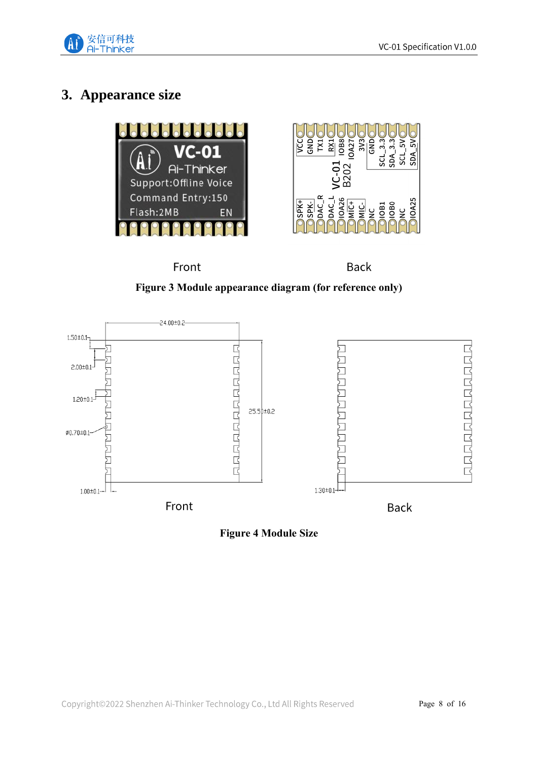

# <span id="page-7-0"></span>**3. Appearance size**



Front

**Back** 

**Figure 3 Module appearance diagram (for reference only)**



**Figure 4 Module Size**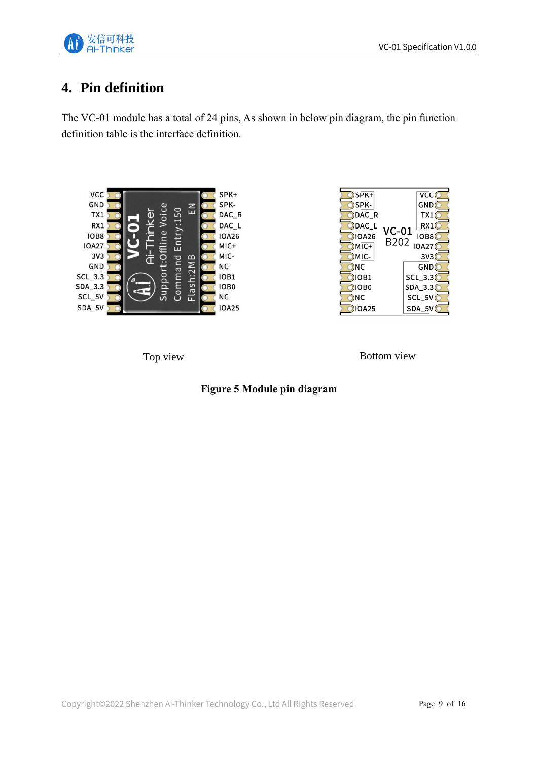

# <span id="page-8-0"></span>**4. Pin definition**

The VC-01 module has a total of 24 pins, As shown in below pin diagram, the pin function definition table is the interface definition.





Top view Bottom view

#### **Figure 5 Module pin diagram**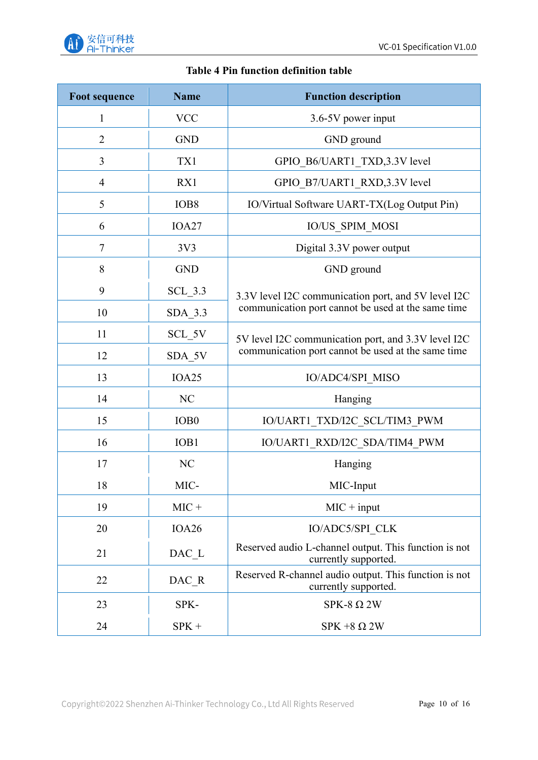

#### **Table 4 Pin function definition table**

| <b>Foot sequence</b> | <b>Name</b>      | <b>Function description</b>                                                   |  |
|----------------------|------------------|-------------------------------------------------------------------------------|--|
| 1                    | <b>VCC</b>       | 3.6-5V power input                                                            |  |
| $\overline{2}$       | <b>GND</b>       | GND ground                                                                    |  |
| 3                    | TX1              | GPIO_B6/UART1_TXD,3.3V level                                                  |  |
| $\overline{4}$       | RX1              | GPIO_B7/UART1_RXD,3.3V level                                                  |  |
| 5                    | IOB <sub>8</sub> | IO/Virtual Software UART-TX(Log Output Pin)                                   |  |
| 6                    | IOA27            | <b>IO/US SPIM MOSI</b>                                                        |  |
| 7                    | 3V3              | Digital 3.3V power output                                                     |  |
| 8                    | <b>GND</b>       | GND ground                                                                    |  |
| 9                    | $SCL$ 3.3        | 3.3V level I2C communication port, and 5V level I2C                           |  |
| 10                   | $SDA_3.3$        | communication port cannot be used at the same time                            |  |
| 11                   | SCL_5V           | 5V level I2C communication port, and 3.3V level I2C                           |  |
| 12                   | $SDA_5V$         | communication port cannot be used at the same time                            |  |
| 13                   | IOA25            | IO/ADC4/SPI MISO                                                              |  |
| 14                   | NC               | Hanging                                                                       |  |
| 15                   | IOB <sub>0</sub> | IO/UART1_TXD/I2C_SCL/TIM3_PWM                                                 |  |
| 16                   | IOB1             | IO/UART1 RXD/I2C SDA/TIM4 PWM                                                 |  |
| 17                   | NC               | Hanging                                                                       |  |
| 18                   | MIC-             | MIC-Input                                                                     |  |
| 19                   | $MIC +$          | $MIC + input$                                                                 |  |
| 20                   | IOA26            | <b>IO/ADC5/SPI CLK</b>                                                        |  |
| 21                   | DAC L            | Reserved audio L-channel output. This function is not<br>currently supported. |  |
| 22                   | $DAC_R$          | Reserved R-channel audio output. This function is not<br>currently supported. |  |
| 23                   | SPK-             | SPK-8 $\Omega$ 2W                                                             |  |
| 24                   | $SPK +$          | SPK +8 $\Omega$ 2W                                                            |  |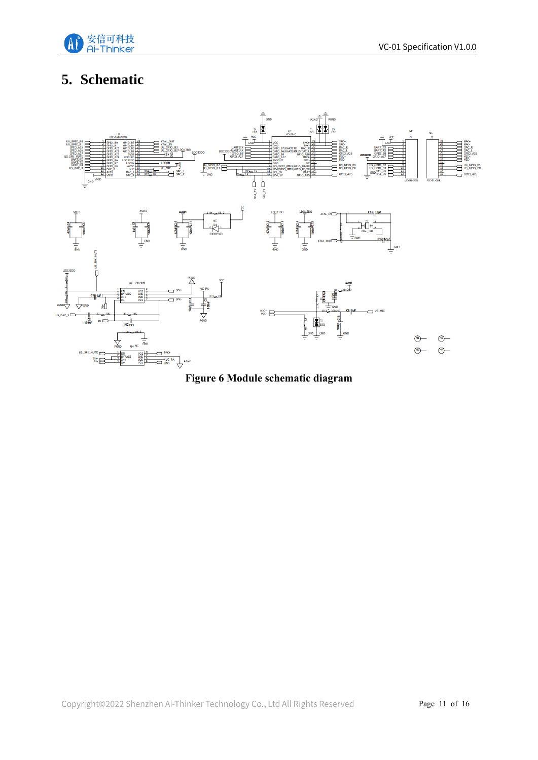

# <span id="page-10-0"></span>**5. Schematic**



**Figure 6 Module schematic diagram**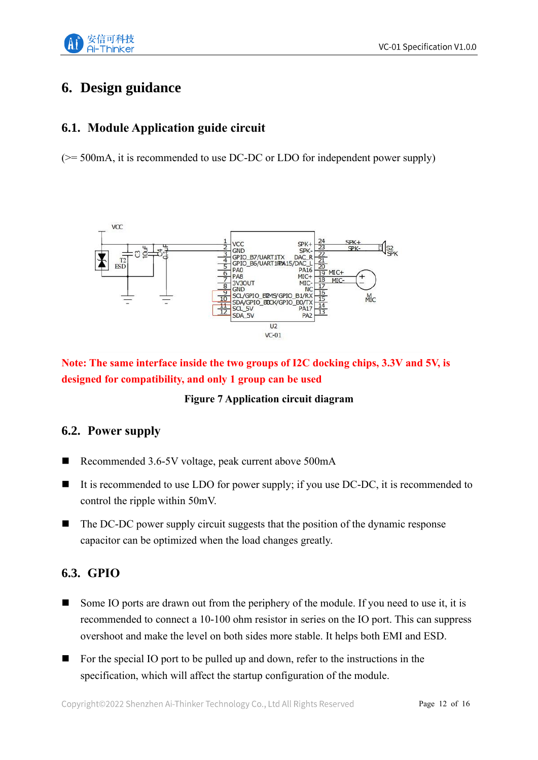

## <span id="page-11-0"></span>**6. Design guidance**

#### <span id="page-11-1"></span>**6.1. Module Application guide circuit**

 $(>= 500 \text{mA}, \text{ it is recommended to use DC-DC or LDO for independent power supply})$ 



**Note: The same interface inside the two groups of I2C docking chips, 3.3V and 5V, is designed for compatibility, and only 1 group can be used**

#### **Figure 7 Application circuit diagram**

#### <span id="page-11-2"></span>**6.2. Power supply**

- Recommended 3.6-5V voltage, peak current above 500mA
- $\blacksquare$  It is recommended to use LDO for power supply; if you use DC-DC, it is recommended to control the ripple within 50mV.
- $\blacksquare$  The DC-DC power supply circuit suggests that the position of the dynamic response capacitor can be optimized when the load changes greatly.

#### <span id="page-11-3"></span>**6.3. GPIO**

- Some IO ports are drawn out from the periphery of the module. If you need to use it, it is recommended to connect a 10-100 ohm resistor in series on the IO port. This can suppress overshoot and make the level on both sides more stable. It helps both EMI and ESD.
- $\blacksquare$  For the special IO port to be pulled up and down, refer to the instructions in the specification, which will affect the startup configuration of the module.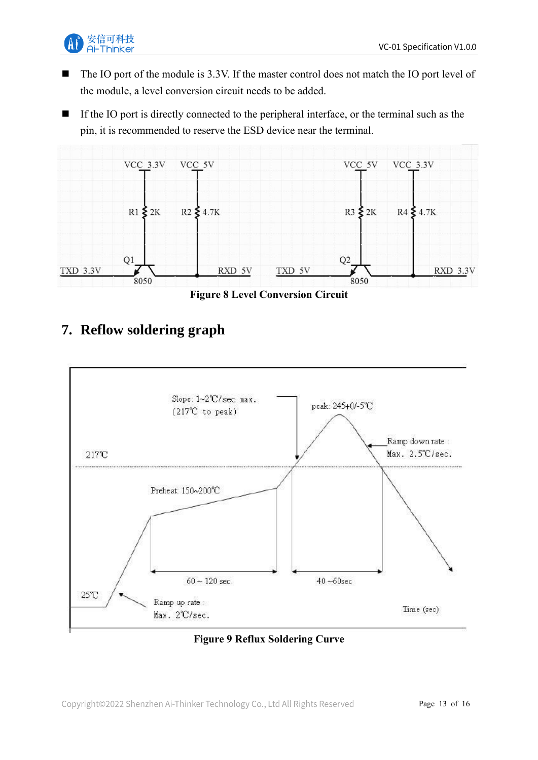

- The IO port of the module is 3.3V. If the master control does not match the IO port level of the module, a level conversion circuit needs to be added.
- If the IO port is directly connected to the peripheral interface, or the terminal such as the pin, it is recommended to reserve the ESD device near the terminal.



**Figure 8 Level Conversion Circuit**



## <span id="page-12-0"></span>**7. Reflow soldering graph**

**Figure 9 Reflux Soldering Curve**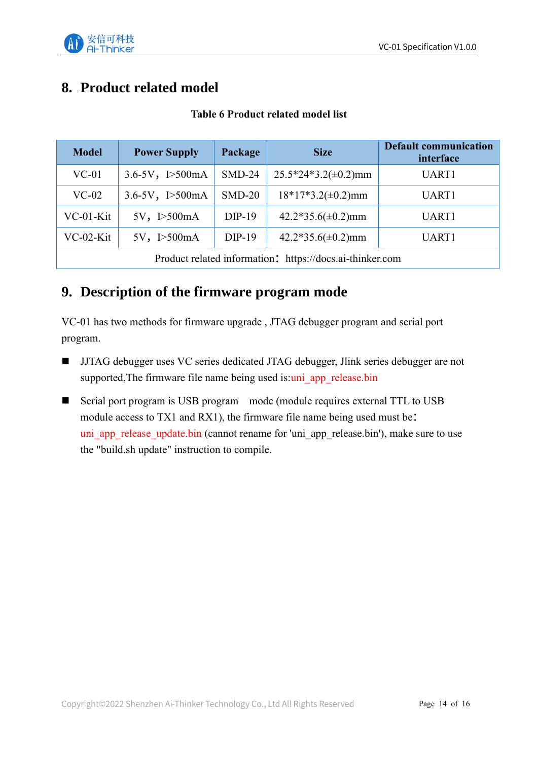

# <span id="page-13-0"></span>**8. Product related model**

| <b>Model</b>                                             | <b>Power Supply</b>       | Package  | <b>Size</b>               | <b>Default communication</b><br>interface |
|----------------------------------------------------------|---------------------------|----------|---------------------------|-------------------------------------------|
| $VC-01$                                                  | $3.6 - 5V$ , I $> 500$ mA | $SMD-24$ | $25.5*24*3.2(\pm 0.2)$ mm | UART1                                     |
| $VC-02$                                                  | $3.6 - 5V$ , $I > 500mA$  | $SMD-20$ | $18*17*3.2(\pm 0.2)$ mm   | UART1                                     |
| $VC-01-Kit$                                              | 5V, I > 500mA             | $DIP-19$ | $42.2*35.6(\pm 0.2)$ mm   | UART1                                     |
| VC-02-Kit                                                | 5V, I>500mA               | $DIP-19$ | $42.2*35.6(\pm 0.2)$ mm   | UART1                                     |
| Product related information: https://docs.ai-thinker.com |                           |          |                           |                                           |

#### **Table 6 Product related model list**

## <span id="page-13-1"></span>**9. Description of the firmware program mode**

VC-01 has two methods for firmware upgrade , JTAG debugger program and serial port program.

- JJTAG debugger uses VC series dedicated JTAG debugger, Jlink series debugger are not supported, The firmware file name being used is:uni app release.bin
- Serial port program is USB program mode (module requires external TTL to USB module access to TX1 and RX1), the firmware file name being used must be: uni app release update.bin (cannot rename for 'uni app release.bin'), make sure to use the "build.sh update" instruction to compile.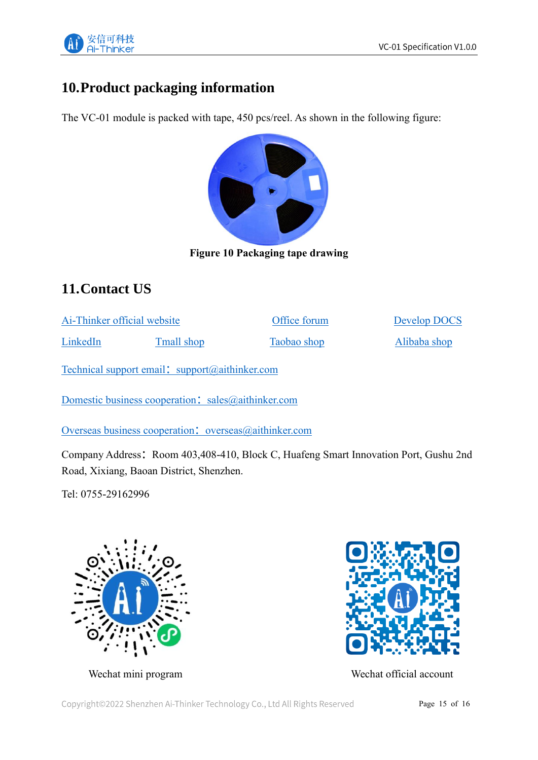

# <span id="page-14-0"></span>**10.Product packaging information**

The VC-01 module is packed with tape, 450 pcs/reel. As shown in the following figure:



**Figure 10 Packaging tape drawing**

# <span id="page-14-1"></span>**11.Contact US**

[Ai-Thinker official website](https://www.ai-thinker.com/) [Office forum](http://bbs.ai-thinker.com/) [Develop DOCS](https://docs.ai-thinker.com/) 

[LinkedIn](https://www.linkedin.com/company/ai-thinker) [Tmall shop](https://aithinker.tmall.com/) [Taobao shop](https://anxinke.taobao.com/) [Alibaba shop](https://ai-thinker.en.alibaba.com/) 

[Technical support email](mailto:support@aithinker.com):  $support@aithinker.com$ 

[Domestic business cooperation](mailto:sales@aithinker.com): sales@aithinker.com

[Overseas business cooperation](mailto:overseas@aithinker.com): overseas@aithinker.com

Company Address: Room 403,408-410, Block C, Huafeng Smart Innovation Port, Gushu 2nd Road, Xixiang, Baoan District, Shenzhen.

Tel: 0755-29162996





Wechat mini program Wechat official account

Copyright©2022 Shenzhen Ai-Thinker Technology Co., Ltd All Rights Reserved